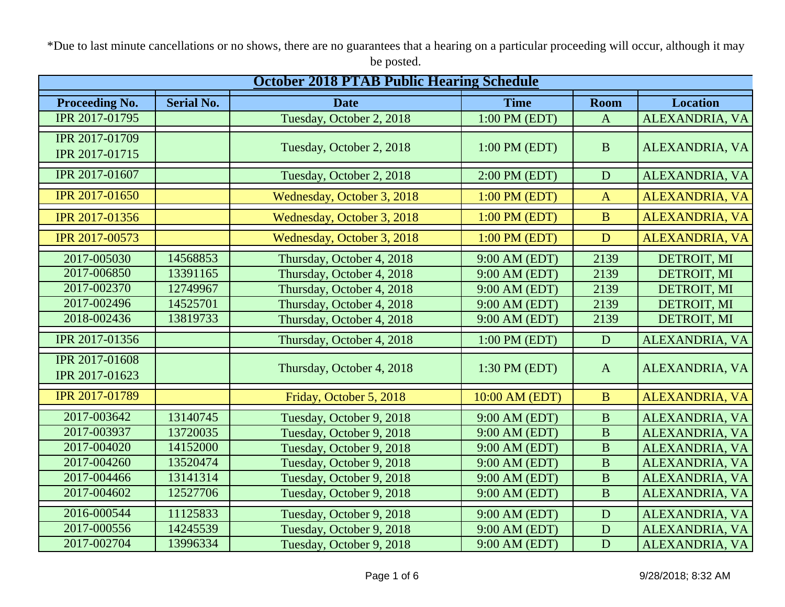| <b>October 2018 PTAB Public Hearing Schedule</b>                        |                                                          |                                                                                                                                               |                                                                                   |                                      |                                                                         |
|-------------------------------------------------------------------------|----------------------------------------------------------|-----------------------------------------------------------------------------------------------------------------------------------------------|-----------------------------------------------------------------------------------|--------------------------------------|-------------------------------------------------------------------------|
| <b>Proceeding No.</b>                                                   | <b>Serial No.</b>                                        | <b>Date</b>                                                                                                                                   | <b>Time</b>                                                                       | Room                                 | <b>Location</b>                                                         |
| IPR 2017-01795                                                          |                                                          | Tuesday, October 2, 2018                                                                                                                      | 1:00 PM (EDT)                                                                     | $\mathbf{A}$                         | ALEXANDRIA, VA                                                          |
| <b>IPR 2017-01709</b><br>IPR 2017-01715                                 |                                                          | Tuesday, October 2, 2018                                                                                                                      | $1:00$ PM (EDT)                                                                   | $\mathbf{B}$                         | ALEXANDRIA, VA                                                          |
| <b>IPR 2017-01607</b>                                                   |                                                          | Tuesday, October 2, 2018                                                                                                                      | 2:00 PM (EDT)                                                                     | $\mathbf D$                          | ALEXANDRIA, VA                                                          |
| <b>IPR 2017-01650</b>                                                   |                                                          | Wednesday, October 3, 2018                                                                                                                    | 1:00 PM (EDT)                                                                     | $\mathbf{A}$                         | <b>ALEXANDRIA, VA</b>                                                   |
| <b>IPR 2017-01356</b>                                                   |                                                          | Wednesday, October 3, 2018                                                                                                                    | 1:00 PM (EDT)                                                                     | $\mathbf{B}$                         | ALEXANDRIA, VA                                                          |
| <b>IPR 2017-00573</b>                                                   |                                                          | Wednesday, October 3, 2018                                                                                                                    | 1:00 PM (EDT)                                                                     | D                                    | <b>ALEXANDRIA, VA</b>                                                   |
| 2017-005030<br>2017-006850<br>2017-002370<br>2017-002496<br>2018-002436 | 14568853<br>13391165<br>12749967<br>14525701<br>13819733 | Thursday, October 4, 2018<br>Thursday, October 4, 2018<br>Thursday, October 4, 2018<br>Thursday, October 4, 2018<br>Thursday, October 4, 2018 | 9:00 AM (EDT)<br>9:00 AM (EDT)<br>9:00 AM (EDT)<br>9:00 AM (EDT)<br>9:00 AM (EDT) | 2139<br>2139<br>2139<br>2139<br>2139 | DETROIT, MI<br>DETROIT, MI<br>DETROIT, MI<br>DETROIT, MI<br>DETROIT, MI |
| IPR 2017-01356                                                          |                                                          | Thursday, October 4, 2018                                                                                                                     | 1:00 PM (EDT)                                                                     | ${\bf D}$                            | ALEXANDRIA, VA                                                          |
| <b>IPR 2017-01608</b><br>IPR 2017-01623                                 |                                                          | Thursday, October 4, 2018                                                                                                                     | 1:30 PM (EDT)                                                                     | $\mathbf{A}$                         | ALEXANDRIA, VA                                                          |
| <b>IPR 2017-01789</b>                                                   |                                                          | Friday, October 5, 2018                                                                                                                       | 10:00 AM (EDT)                                                                    | $\mathbf B$                          | ALEXANDRIA, VA                                                          |
| 2017-003642                                                             | 13140745                                                 | Tuesday, October 9, 2018                                                                                                                      | 9:00 AM (EDT)                                                                     | $\overline{B}$                       | ALEXANDRIA, VA                                                          |
| 2017-003937                                                             | 13720035                                                 | Tuesday, October 9, 2018                                                                                                                      | 9:00 AM (EDT)                                                                     | $\overline{B}$                       | ALEXANDRIA, VA                                                          |
| 2017-004020                                                             | 14152000                                                 | Tuesday, October 9, 2018                                                                                                                      | 9:00 AM (EDT)                                                                     | $\overline{B}$                       | ALEXANDRIA, VA                                                          |
| 2017-004260                                                             | 13520474                                                 | Tuesday, October 9, 2018                                                                                                                      | 9:00 AM (EDT)                                                                     | $\overline{B}$                       | ALEXANDRIA, VA                                                          |
| 2017-004466                                                             | 13141314                                                 | Tuesday, October 9, 2018                                                                                                                      | 9:00 AM (EDT)                                                                     | $\overline{B}$                       | ALEXANDRIA, VA                                                          |
| 2017-004602                                                             | 12527706                                                 | Tuesday, October 9, 2018                                                                                                                      | 9:00 AM (EDT)                                                                     | $\, {\bf B}$                         | ALEXANDRIA, VA                                                          |
| 2016-000544                                                             | 11125833                                                 | Tuesday, October 9, 2018                                                                                                                      | 9:00 AM (EDT)                                                                     | D                                    | ALEXANDRIA, VA                                                          |
| 2017-000556                                                             | 14245539                                                 | Tuesday, October 9, 2018                                                                                                                      | 9:00 AM (EDT)                                                                     | $\overline{D}$                       | ALEXANDRIA, VA                                                          |
| 2017-002704                                                             | 13996334                                                 | Tuesday, October 9, 2018                                                                                                                      | 9:00 AM (EDT)                                                                     | D                                    | ALEXANDRIA, VA                                                          |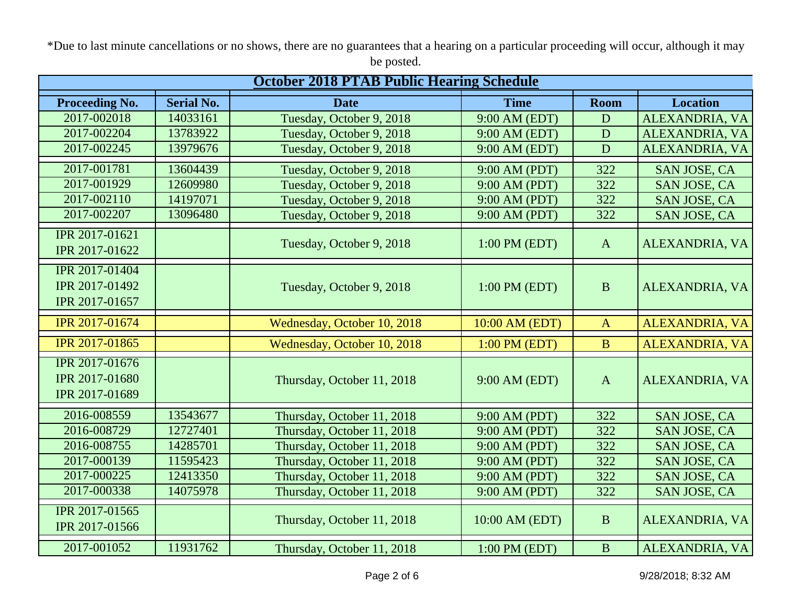| <b>October 2018 PTAB Public Hearing Schedule</b>                 |                   |                             |                |                |                       |
|------------------------------------------------------------------|-------------------|-----------------------------|----------------|----------------|-----------------------|
| <b>Proceeding No.</b>                                            | <b>Serial No.</b> | <b>Date</b>                 | <b>Time</b>    | <b>Room</b>    | <b>Location</b>       |
| 2017-002018                                                      | 14033161          | Tuesday, October 9, 2018    | 9:00 AM (EDT)  | $\mathbf D$    | ALEXANDRIA, VA        |
| 2017-002204                                                      | 13783922          | Tuesday, October 9, 2018    | 9:00 AM (EDT)  | D              | ALEXANDRIA, VA        |
| 2017-002245                                                      | 13979676          | Tuesday, October 9, 2018    | 9:00 AM (EDT)  | $\overline{D}$ | ALEXANDRIA, VA        |
| 2017-001781                                                      | 13604439          | Tuesday, October 9, 2018    | 9:00 AM (PDT)  | 322            | <b>SAN JOSE, CA</b>   |
| 2017-001929                                                      | 12609980          | Tuesday, October 9, 2018    | 9:00 AM (PDT)  | 322            | <b>SAN JOSE, CA</b>   |
| 2017-002110                                                      | 14197071          | Tuesday, October 9, 2018    | 9:00 AM (PDT)  | 322            | <b>SAN JOSE, CA</b>   |
| 2017-002207                                                      | 13096480          | Tuesday, October 9, 2018    | 9:00 AM (PDT)  | 322            | <b>SAN JOSE, CA</b>   |
| <b>IPR 2017-01621</b><br>IPR 2017-01622                          |                   | Tuesday, October 9, 2018    | 1:00 PM (EDT)  | $\mathbf{A}$   | ALEXANDRIA, VA        |
| <b>IPR 2017-01404</b><br>IPR 2017-01492<br>IPR 2017-01657        |                   | Tuesday, October 9, 2018    | 1:00 PM (EDT)  | $\, {\bf B}$   | ALEXANDRIA, VA        |
| <b>IPR 2017-01674</b>                                            |                   | Wednesday, October 10, 2018 | 10:00 AM (EDT) | $\mathbf{A}$   | <b>ALEXANDRIA, VA</b> |
| <b>IPR 2017-01865</b>                                            |                   | Wednesday, October 10, 2018 | 1:00 PM (EDT)  | $\overline{B}$ | <b>ALEXANDRIA, VA</b> |
| <b>IPR 2017-01676</b><br><b>IPR 2017-01680</b><br>IPR 2017-01689 |                   | Thursday, October 11, 2018  | 9:00 AM (EDT)  | $\mathbf{A}$   | ALEXANDRIA, VA        |
| 2016-008559                                                      | 13543677          | Thursday, October 11, 2018  | 9:00 AM (PDT)  | 322            | <b>SAN JOSE, CA</b>   |
| 2016-008729                                                      | 12727401          | Thursday, October 11, 2018  | 9:00 AM (PDT)  | 322            | <b>SAN JOSE, CA</b>   |
| 2016-008755                                                      | 14285701          | Thursday, October 11, 2018  | 9:00 AM (PDT)  | 322            | <b>SAN JOSE, CA</b>   |
| 2017-000139                                                      | 11595423          | Thursday, October 11, 2018  | 9:00 AM (PDT)  | 322            | <b>SAN JOSE, CA</b>   |
| 2017-000225                                                      | 12413350          | Thursday, October 11, 2018  | 9:00 AM (PDT)  | 322            | <b>SAN JOSE, CA</b>   |
| 2017-000338                                                      | 14075978          | Thursday, October 11, 2018  | 9:00 AM (PDT)  | 322            | <b>SAN JOSE, CA</b>   |
| <b>IPR 2017-01565</b><br>IPR 2017-01566                          |                   | Thursday, October 11, 2018  | 10:00 AM (EDT) | $\bf{B}$       | ALEXANDRIA, VA        |
| 2017-001052                                                      | 11931762          | Thursday, October 11, 2018  | 1:00 PM (EDT)  | $\mathbf{B}$   | ALEXANDRIA, VA        |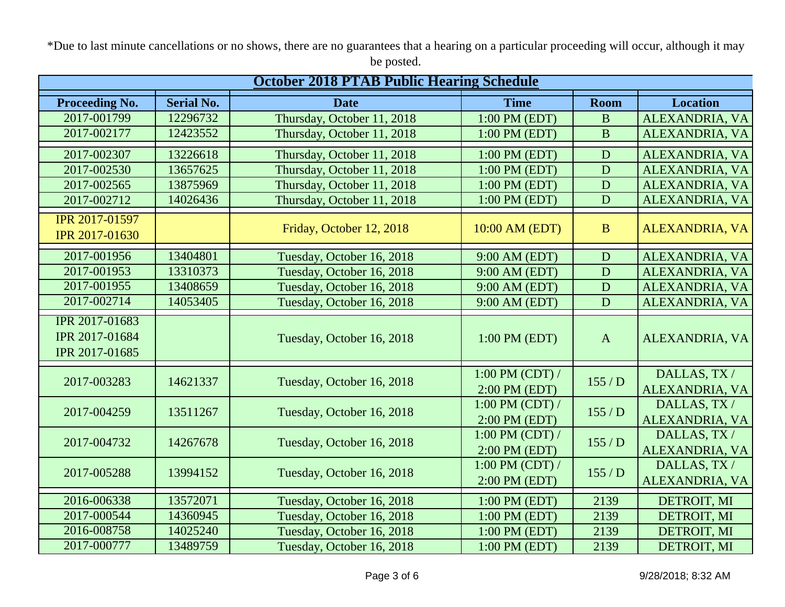| <b>October 2018 PTAB Public Hearing Schedule</b>          |                   |                            |                                    |                |                                |
|-----------------------------------------------------------|-------------------|----------------------------|------------------------------------|----------------|--------------------------------|
| <b>Proceeding No.</b>                                     | <b>Serial No.</b> | <b>Date</b>                | <b>Time</b>                        | Room           | <b>Location</b>                |
| 2017-001799                                               | 12296732          | Thursday, October 11, 2018 | 1:00 PM (EDT)                      | $\, {\bf B}$   | ALEXANDRIA, VA                 |
| 2017-002177                                               | 12423552          | Thursday, October 11, 2018 | 1:00 PM (EDT)                      | B              | ALEXANDRIA, VA                 |
| 2017-002307                                               | 13226618          | Thursday, October 11, 2018 | 1:00 PM (EDT)                      | $\overline{D}$ | ALEXANDRIA, VA                 |
| 2017-002530                                               | 13657625          | Thursday, October 11, 2018 | 1:00 PM (EDT)                      | D              | ALEXANDRIA, VA                 |
| 2017-002565                                               | 13875969          | Thursday, October 11, 2018 | 1:00 PM (EDT)                      | D              | ALEXANDRIA, VA                 |
| 2017-002712                                               | 14026436          | Thursday, October 11, 2018 | 1:00 PM (EDT)                      | $\overline{D}$ | ALEXANDRIA, VA                 |
| <b>IPR 2017-01597</b><br><b>IPR 2017-01630</b>            |                   | Friday, October 12, 2018   | 10:00 AM (EDT)                     | $\mathbf{B}$   | <b>ALEXANDRIA, VA</b>          |
| 2017-001956                                               | 13404801          | Tuesday, October 16, 2018  | 9:00 AM (EDT)                      | D              | ALEXANDRIA, VA                 |
| 2017-001953                                               | 13310373          | Tuesday, October 16, 2018  | 9:00 AM (EDT)                      | $\overline{D}$ | ALEXANDRIA, VA                 |
| 2017-001955                                               | 13408659          | Tuesday, October 16, 2018  | 9:00 AM (EDT)                      | $\overline{D}$ | ALEXANDRIA, VA                 |
| 2017-002714                                               | 14053405          | Tuesday, October 16, 2018  | 9:00 AM (EDT)                      | D              | ALEXANDRIA, VA                 |
| <b>IPR 2017-01683</b><br>IPR 2017-01684<br>IPR 2017-01685 |                   | Tuesday, October 16, 2018  | 1:00 PM (EDT)                      | $\mathbf{A}$   | <b>ALEXANDRIA, VA</b>          |
| 2017-003283                                               | 14621337          | Tuesday, October 16, 2018  | 1:00 PM (CDT) /<br>2:00 PM (EDT)   | 155/D          | DALLAS, TX /<br>ALEXANDRIA, VA |
| 2017-004259                                               | 13511267          | Tuesday, October 16, 2018  | 1:00 PM (CDT) /<br>$2:00$ PM (EDT) | 155/D          | DALLAS, TX /<br>ALEXANDRIA, VA |
| 2017-004732                                               | 14267678          | Tuesday, October 16, 2018  | 1:00 PM (CDT) /<br>2:00 PM (EDT)   | 155/D          | DALLAS, TX /<br>ALEXANDRIA, VA |
| 2017-005288                                               | 13994152          | Tuesday, October 16, 2018  | 1:00 PM (CDT) /<br>2:00 PM (EDT)   | 155/D          | DALLAS, TX /<br>ALEXANDRIA, VA |
| 2016-006338                                               | 13572071          | Tuesday, October 16, 2018  | $1:00$ PM (EDT)                    | 2139           | DETROIT, MI                    |
| 2017-000544                                               | 14360945          | Tuesday, October 16, 2018  | 1:00 PM (EDT)                      | 2139           | DETROIT, MI                    |
| 2016-008758                                               | 14025240          | Tuesday, October 16, 2018  | 1:00 PM (EDT)                      | 2139           | DETROIT, MI                    |
| 2017-000777                                               | 13489759          | Tuesday, October 16, 2018  | 1:00 PM (EDT)                      | 2139           | DETROIT, MI                    |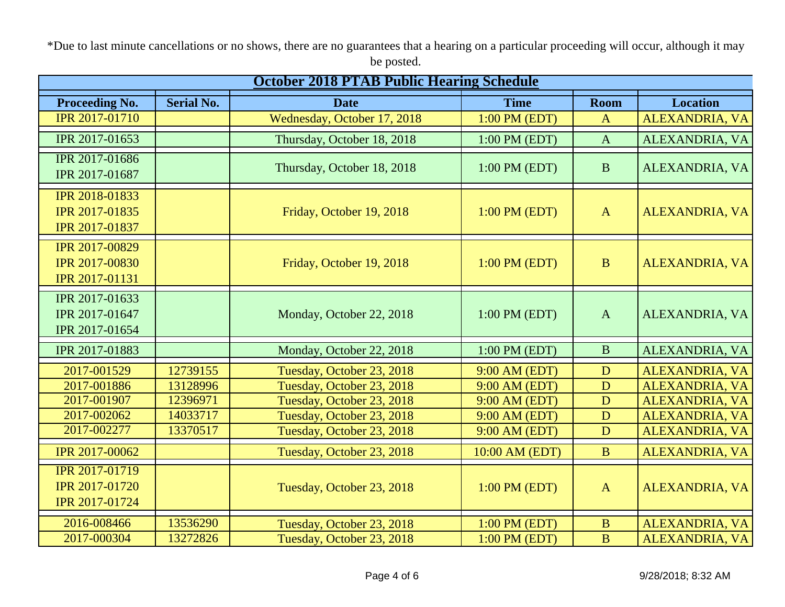| <b>October 2018 PTAB Public Hearing Schedule</b>                        |                      |                                                        |                                |                     |                                                |
|-------------------------------------------------------------------------|----------------------|--------------------------------------------------------|--------------------------------|---------------------|------------------------------------------------|
| <b>Proceeding No.</b>                                                   | <b>Serial No.</b>    | <b>Date</b>                                            | <b>Time</b>                    | <b>Room</b>         | <b>Location</b>                                |
| <b>IPR 2017-01710</b>                                                   |                      | Wednesday, October 17, 2018                            | 1:00 PM (EDT)                  | $\mathbf{A}$        | ALEXANDRIA, VA                                 |
| IPR 2017-01653                                                          |                      | Thursday, October 18, 2018                             | 1:00 PM (EDT)                  | $\mathbf{A}$        | ALEXANDRIA, VA                                 |
| <b>IPR 2017-01686</b><br>IPR 2017-01687                                 |                      | Thursday, October 18, 2018                             | 1:00 PM (EDT)                  | $\, {\bf B}$        | ALEXANDRIA, VA                                 |
| <b>IPR 2018-01833</b><br><b>IPR 2017-01835</b><br><b>IPR 2017-01837</b> |                      | Friday, October 19, 2018                               | 1:00 PM (EDT)                  | $\mathbf{A}$        | <b>ALEXANDRIA, VA</b>                          |
| <b>IPR 2017-00829</b><br><b>IPR 2017-00830</b><br><b>IPR 2017-01131</b> |                      | Friday, October 19, 2018                               | 1:00 PM (EDT)                  | $\mathbf B$         | <b>ALEXANDRIA, VA</b>                          |
| IPR 2017-01633<br>IPR 2017-01647<br>IPR 2017-01654                      |                      | Monday, October 22, 2018                               | 1:00 PM (EDT)                  | $\mathbf{A}$        | ALEXANDRIA, VA                                 |
| IPR 2017-01883                                                          |                      | Monday, October 22, 2018                               | 1:00 PM (EDT)                  | $\bf{B}$            | ALEXANDRIA, VA                                 |
| 2017-001529<br>2017-001886                                              | 12739155<br>13128996 | Tuesday, October 23, 2018<br>Tuesday, October 23, 2018 | 9:00 AM (EDT)<br>9:00 AM (EDT) | D<br>$\overline{D}$ | <b>ALEXANDRIA, VA</b><br><b>ALEXANDRIA, VA</b> |
| 2017-001907                                                             | 12396971             | Tuesday, October 23, 2018                              | 9:00 AM (EDT)                  | D                   | <b>ALEXANDRIA, VA</b>                          |
| 2017-002062<br>2017-002277                                              | 14033717<br>13370517 | Tuesday, October 23, 2018                              | 9:00 AM (EDT)                  | D<br>$\mathbf D$    | <b>ALEXANDRIA, VA</b>                          |
| <b>IPR 2017-00062</b>                                                   |                      | Tuesday, October 23, 2018                              | 9:00 AM (EDT)                  | $\mathbf{B}$        | ALEXANDRIA, VA<br><b>ALEXANDRIA, VA</b>        |
|                                                                         |                      | Tuesday, October 23, 2018                              | 10:00 AM (EDT)                 |                     |                                                |
| <b>IPR 2017-01719</b><br><b>IPR 2017-01720</b><br>IPR 2017-01724        |                      | Tuesday, October 23, 2018                              | 1:00 PM (EDT)                  | $\mathbf{A}$        | <b>ALEXANDRIA, VA</b>                          |
| 2016-008466                                                             | 13536290             | Tuesday, October 23, 2018                              | 1:00 PM (EDT)                  | $\mathbf B$         | <b>ALEXANDRIA, VA</b>                          |
| 2017-000304                                                             | 13272826             | Tuesday, October 23, 2018                              | 1:00 PM (EDT)                  | $\overline{B}$      | <b>ALEXANDRIA, VA</b>                          |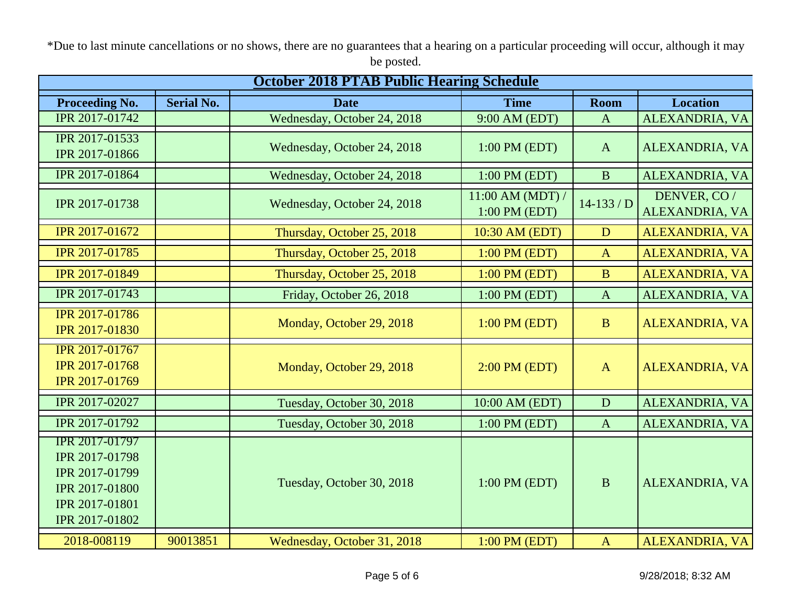| <b>October 2018 PTAB Public Hearing Schedule</b>                                                                              |                   |                             |                                   |              |                                |
|-------------------------------------------------------------------------------------------------------------------------------|-------------------|-----------------------------|-----------------------------------|--------------|--------------------------------|
| <b>Proceeding No.</b>                                                                                                         | <b>Serial No.</b> | <b>Date</b>                 | <b>Time</b>                       | <b>Room</b>  | <b>Location</b>                |
| <b>IPR 2017-01742</b>                                                                                                         |                   | Wednesday, October 24, 2018 | 9:00 AM (EDT)                     | $\mathbf{A}$ | ALEXANDRIA, VA                 |
| <b>IPR 2017-01533</b><br>IPR 2017-01866                                                                                       |                   | Wednesday, October 24, 2018 | 1:00 PM (EDT)                     | $\mathbf{A}$ | ALEXANDRIA, VA                 |
| <b>IPR 2017-01864</b>                                                                                                         |                   | Wednesday, October 24, 2018 | 1:00 PM (EDT)                     | $\, {\bf B}$ | ALEXANDRIA, VA                 |
| IPR 2017-01738                                                                                                                |                   | Wednesday, October 24, 2018 | 11:00 AM (MDT) /<br>1:00 PM (EDT) | $14-133/D$   | DENVER, CO /<br>ALEXANDRIA, VA |
| IPR 2017-01672                                                                                                                |                   | Thursday, October 25, 2018  | 10:30 AM (EDT)                    | D            | <b>ALEXANDRIA, VA</b>          |
| <b>IPR 2017-01785</b>                                                                                                         |                   | Thursday, October 25, 2018  | 1:00 PM (EDT)                     | $\mathbf{A}$ | ALEXANDRIA, VA                 |
| <b>IPR 2017-01849</b>                                                                                                         |                   | Thursday, October 25, 2018  | 1:00 PM (EDT)                     | $\mathbf{B}$ | ALEXANDRIA, VA                 |
| <b>IPR 2017-01743</b>                                                                                                         |                   | Friday, October 26, 2018    | 1:00 PM (EDT)                     | $\mathbf{A}$ | ALEXANDRIA, VA                 |
| <b>IPR 2017-01786</b><br><b>IPR 2017-01830</b>                                                                                |                   | Monday, October 29, 2018    | 1:00 PM (EDT)                     | $\bf{B}$     | <b>ALEXANDRIA, VA</b>          |
| <b>IPR 2017-01767</b><br><b>IPR 2017-01768</b><br><b>IPR 2017-01769</b>                                                       |                   | Monday, October 29, 2018    | $2:00$ PM (EDT)                   | $\mathbf{A}$ | <b>ALEXANDRIA, VA</b>          |
| IPR 2017-02027                                                                                                                |                   | Tuesday, October 30, 2018   | 10:00 AM (EDT)                    | D            | ALEXANDRIA, VA                 |
| <b>IPR 2017-01792</b>                                                                                                         |                   | Tuesday, October 30, 2018   | 1:00 PM (EDT)                     | $\mathbf{A}$ | ALEXANDRIA, VA                 |
| <b>IPR 2017-01797</b><br><b>IPR 2017-01798</b><br>IPR 2017-01799<br><b>IPR 2017-01800</b><br>IPR 2017-01801<br>IPR 2017-01802 |                   | Tuesday, October 30, 2018   | 1:00 PM (EDT)                     | $\, {\bf B}$ | ALEXANDRIA, VA                 |
| 2018-008119                                                                                                                   | 90013851          | Wednesday, October 31, 2018 | 1:00 PM (EDT)                     | $\mathbf{A}$ | <b>ALEXANDRIA, VA</b>          |